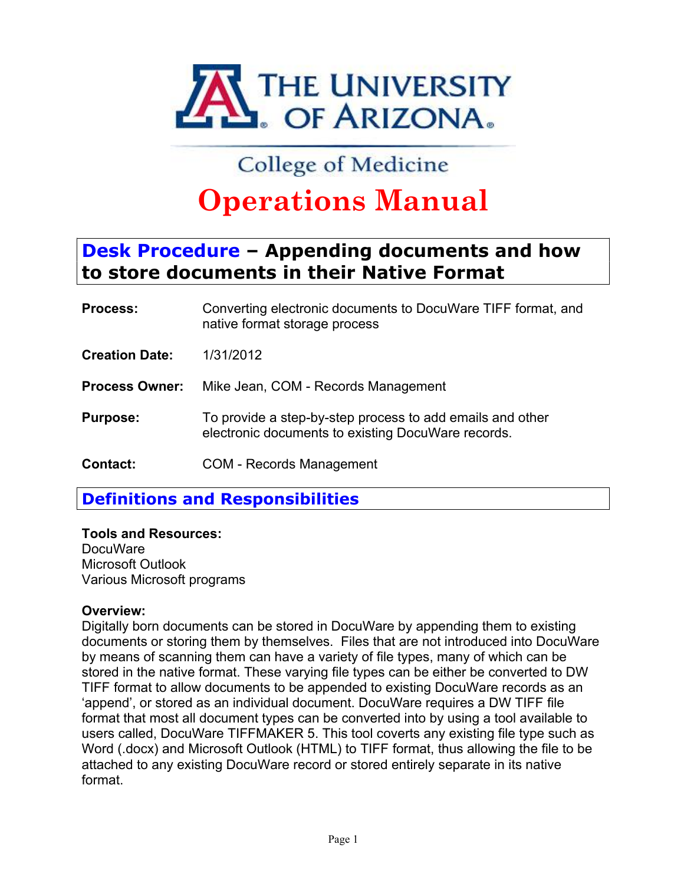

## **Operations Manual**

# **to store documents in their Native Format**

| <b>TAL</b> OF ARIZONA. |                                                                                                                 |  |
|------------------------|-----------------------------------------------------------------------------------------------------------------|--|
|                        | College of Medicine                                                                                             |  |
|                        | <b>Operations Manual</b>                                                                                        |  |
|                        | <b>Desk Procedure - Appending documents and how</b><br>to store documents in their Native Format                |  |
| Process:               | Converting electronic documents to DocuWare TIFF format, and<br>native format storage process                   |  |
| <b>Creation Date:</b>  | 1/31/2012                                                                                                       |  |
| <b>Process Owner:</b>  | Mike Jean, COM - Records Management                                                                             |  |
| <b>Purpose:</b>        | To provide a step-by-step process to add emails and other<br>electronic documents to existing DocuWare records. |  |
| <b>Contact:</b>        | <b>COM - Records Management</b>                                                                                 |  |

**Definitions and Responsibilities**

**Tools and Resources:** DocuWare Microsoft Outlook

Various Microsoft programs

#### **Overview:**

Digitally born documents can be stored in DocuWare by appending them to existing documents or storing them by themselves. Files that are not introduced into DocuWare by means of scanning them can have a variety of file types, many of which can be stored in the native format. These varying file types can be either be converted to DW TIFF format to allow documents to be appended to existing DocuWare records as an 'append', or stored as an individual document. DocuWare requires a DW TIFF file format that most all document types can be converted into by using a tool available to users called, DocuWare TIFFMAKER 5. This tool coverts any existing file type such as Word (.docx) and Microsoft Outlook (HTML) to TIFF format, thus allowing the file to be attached to any existing DocuWare record or stored entirely separate in its native format.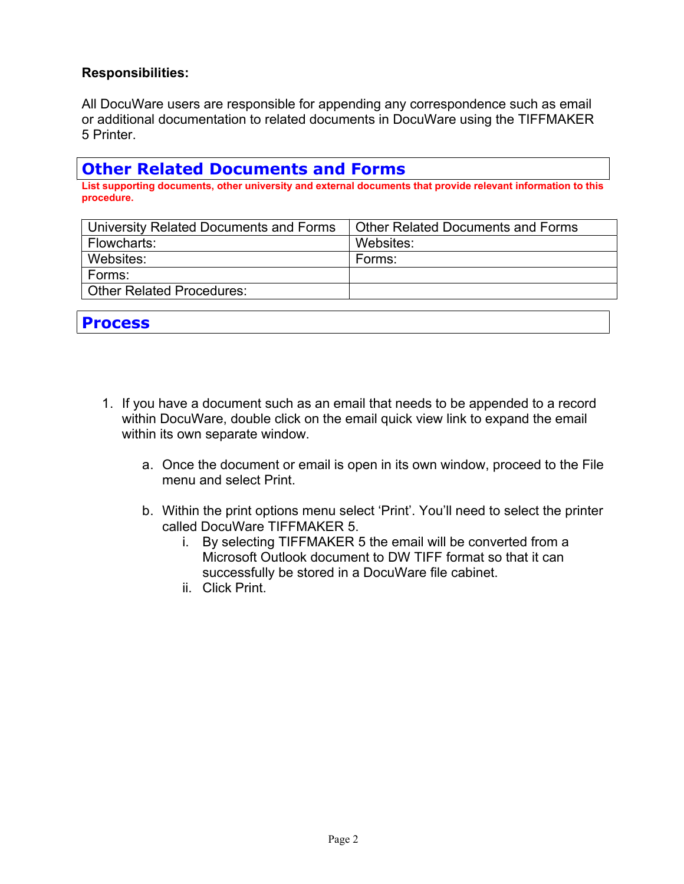#### **Responsibilities:**

Responsibilities:<br>All DocuWare users are responsible for appending any correspondence such as email<br>or additional documentation to related documents in DocuWare using the TIFFMAKER<br>5 Printer. **Responsibilities:**<br>All DocuWare users are responsible for appending any correspondence such as email<br>or additional documentation to related documents in DocuWare using the TIFFMAKER<br>5 Printer.<br>**Other Related Documents and** 5 Printer.

### **Other Related Documents and Forms**

**List supporting documents, other university and external documents that provide relevant information to this procedure.**

| University Related Documents and Forms | <b>Other Related Documents and Forms</b>                                                                                                                        |
|----------------------------------------|-----------------------------------------------------------------------------------------------------------------------------------------------------------------|
| Flowcharts:                            | Websites:                                                                                                                                                       |
| Websites:                              | Forms:                                                                                                                                                          |
| Forms:                                 |                                                                                                                                                                 |
| <b>Other Related Procedures:</b>       |                                                                                                                                                                 |
| <b>Process</b>                         |                                                                                                                                                                 |
| 1.<br>within its own separate window.  | If you have a document such as an email that needs to be appended to a record<br>within DocuWare, double click on the email quick view link to expand the email |
| menu and select Print.                 | a. Once the document or email is open in its own window, proceed to the File                                                                                    |
|                                        | b. Within the print options menu select 'Print'. You'll need to select the printer                                                                              |

- 1. If you have a document such as an email that needs to be appended to a record within DocuWare, double click on the email quick view link to expand the email within its own separate window. b.<br>
b. Whate a document such as an email that needs to be appended to a record<br>
b. Within the print options menu select 'Print'. You'll need to select the printer<br>
a. Once the document or email is open in its own window, p document such as an email that needs to be appended to a record<br>Tare, double click on the email quick view link to expand the email<br>separate window.<br>The document or email is open in its own window, proceed to the File<br>and
	- menu and select Print.
	- called DocuWare TIFFMAKER 5.
		- i. By selecting TIFFMAKER 5 the email will be converted from a successfully be stored in a DocuWare file cabinet.
		- ii. Click Print.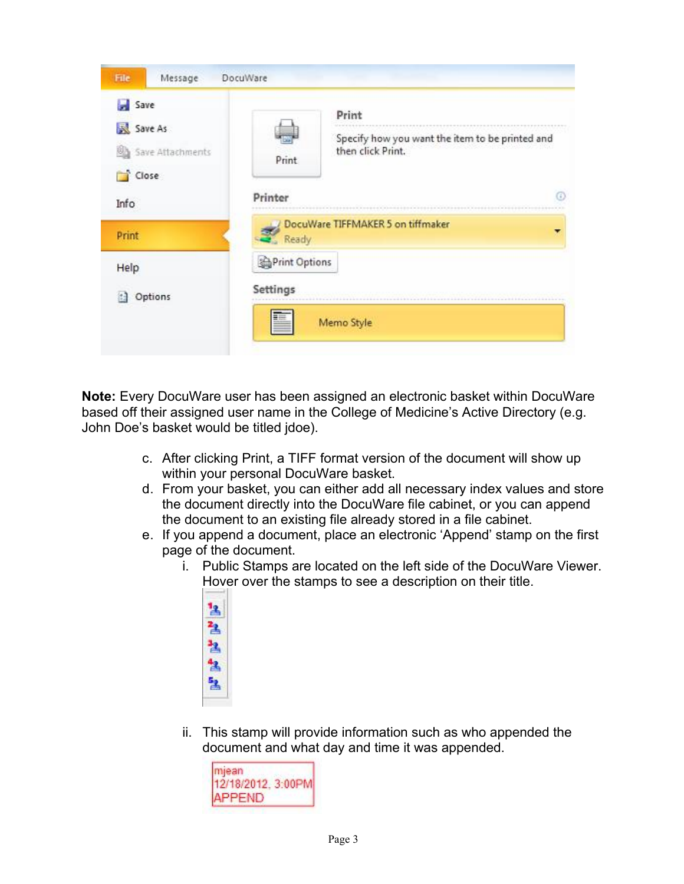

**Note:** Every DocuWare user has been assigned an electronic basket within DocuWare based off their assigned user name in the College of Medicine's Active Directory (e.g. John Doe's basket would be titled jdoe).

- 
- d. From your basket, you can either add all necessary index values and store the document directly into the DocuWare file cabinet, or you can append the document to an existing file already stored in a file cabinet.
- e. If you append a document, place an electronic 'Append' stamp on the first page of the document.
	- i. Public Stamps are located on the left side of the DocuWare Viewer. Hover over the stamps to see a description on their title.
		- $^1\text{A}$ 盐 ュ 色 包
	- ii. This stamp will provide information such as who appended the document and what day and time it was appended.

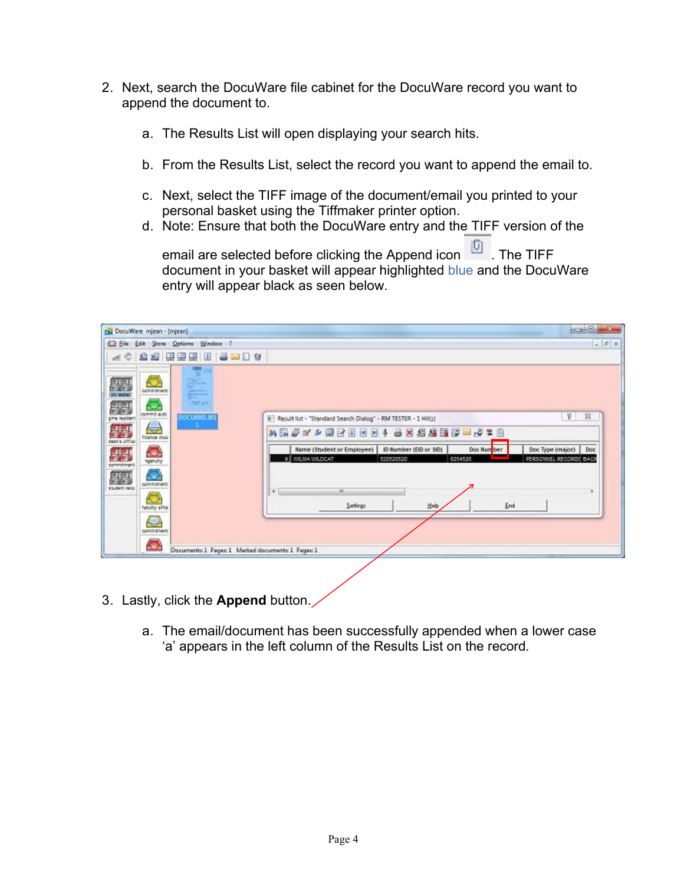- 2. Next, search the DocuWare file cabinet for the DocuWare record you want to<br>append the document to.<br>a. The Results List will open displaying your search hits. append the document to.
	- a. The Results List will open displaying your search hits.
	- b. From the Results List, select the record you want to append the email to.
	- c. Next, select the TIFF image of the document/email you printed to your personal basket using the Tiffmaker printer option.
	- d. Note: Ensure that both the DocuWare entry and the TIFF version of the

email are selected before clicking the Append icon **6**. The TIFF document in your basket will appear highlighted blue and the DocuWare entry will appear black as seen below.

| pul DocuWare mjean - [mjean]                                                                                                                                      |                                                    |                                                                                                                                                                                                                                                                                                                                           | <b>CALL OF BUILDING</b>                   |
|-------------------------------------------------------------------------------------------------------------------------------------------------------------------|----------------------------------------------------|-------------------------------------------------------------------------------------------------------------------------------------------------------------------------------------------------------------------------------------------------------------------------------------------------------------------------------------------|-------------------------------------------|
| C File Edit Store Options Window                                                                                                                                  | 昌三日日<br><b>DI</b><br>围<br>粵                        |                                                                                                                                                                                                                                                                                                                                           | $ 0x$                                     |
| commitment<br>commit auto<br>phe resident<br><b>Cristica inco</b><br>sean's offic<br>peruits<br><b>CONTRACTOR</b><br>student reco<br>firoutly affai<br>commitment | <b>REE AN</b><br>0000008.00                        | II Result list - "Standard Search Dialog" - RM TESTER - 1 Hit(s)<br>●×名標講師■→ 字 # ①<br>$= 25$<br><b>Mill</b><br>$\vert \mathbf{H} \vert$<br><b>H</b><br>Name (Student or Employee)   ID Number (EID or SID)<br>Doc Type (major)<br>Doe Nun<br>ber<br>WEISA WILDEAT<br>500500500<br>5254525<br>$\mathcal{A}$ .<br>m<br>Setings<br>End<br>出吻 | 圣<br>33.<br>Doc<br>PERSONNEL RECORDS BACK |
|                                                                                                                                                                   | Documents: 1 Pages: 1 Marked documents: 1 Pages: 1 |                                                                                                                                                                                                                                                                                                                                           |                                           |
|                                                                                                                                                                   | 3. Lastly, click the Append button.                | a. The email/document has been successfully appended when a lower case<br>'a' appears in the left column of the Results List on the record.                                                                                                                                                                                               |                                           |

- Lastly, click the **Append** button.3.
	- a. The email/document has been successfully appended when a lower case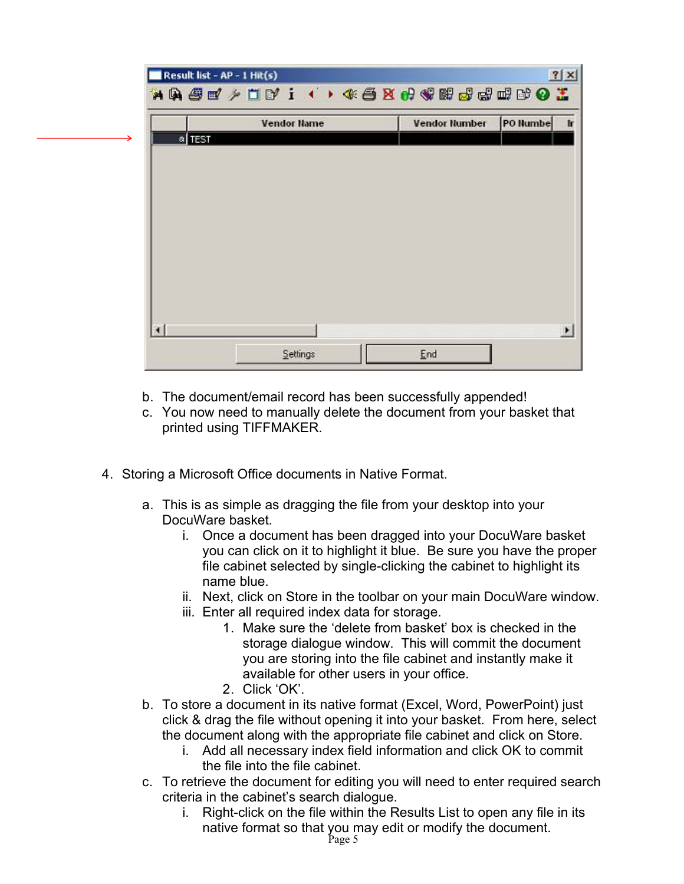|        | <b>Vendor Name</b> | <b>Vendor Number</b> | PO Humbe |
|--------|--------------------|----------------------|----------|
| a TEST |                    |                      |          |
|        |                    |                      |          |
|        |                    |                      |          |
|        |                    |                      |          |
|        |                    |                      |          |
|        |                    |                      |          |
|        |                    |                      |          |
|        |                    |                      |          |
|        |                    |                      |          |

- b. The document/email record has been successfully appended!
- c. You now need to manually delete the document from your basket that printed using TIFFMAKER.
- 4. Storing a Microsoft Office documents in Native Format.
	- a. This is as simple as dragging the file from your desktop into your DocuWare basket.
		- i. Once a document has been dragged into your DocuWare basket you can click on it to highlight it blue. Be sure you have the proper file cabinet selected by single-clicking the cabinet to highlight its name blue.
		- ii. Next, click on Store in the toolbar on your main DocuWare window.
		- iii. Enter all required index data for storage.
			- 1. Make sure the 'delete from basket' box is checked in the storage dialogue window. This will commit the document you are storing into the file cabinet and instantly make it available for other users in your office.
			- 2. Click 'OK'.
	- b. To store a document in its native format (Excel, Word, PowerPoint) just click & drag the file without opening it into your basket. From here, select the document along with the appropriate file cabinet and click on Store.
		- i. Add all necessary index field information and click OK to commit the file into the file cabinet.
	- c. To retrieve the document for editing you will need to enter required search criteria in the cabinet's search dialogue.
		- i. Right-click on the file within the Results List to open any file in its native format so that you may edit or modify the document.